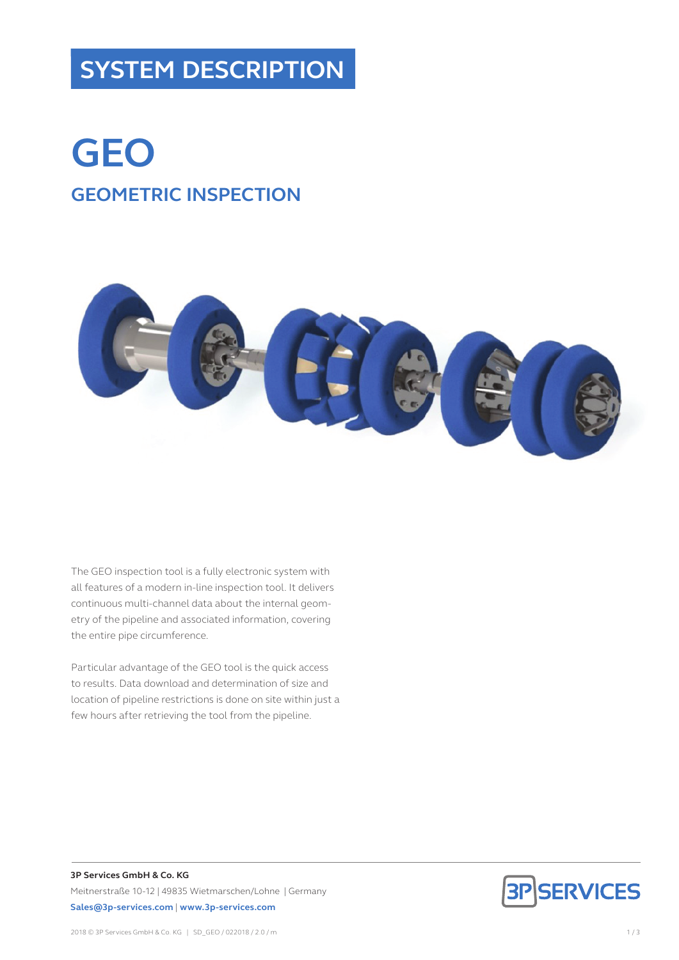## **SYSTEM DESCRIPTION**

# **GEO GEOMETRIC INSPECTION**



The GEO inspection tool is a fully electronic system with all features of a modern in-line inspection tool. It delivers continuous multi-channel data about the internal geometry of the pipeline and associated information, covering the entire pipe circumference.

Particular advantage of the GEO tool is the quick access to results. Data download and determination of size and location of pipeline restrictions is done on site within just a few hours after retrieving the tool from the pipeline.



**3P Services GmbH & Co. KG** Meitnerstraße 10-12 | 49835 Wietmarschen/Lohne | Germany **Sales@3p-services.com** | **www.3p-services.com**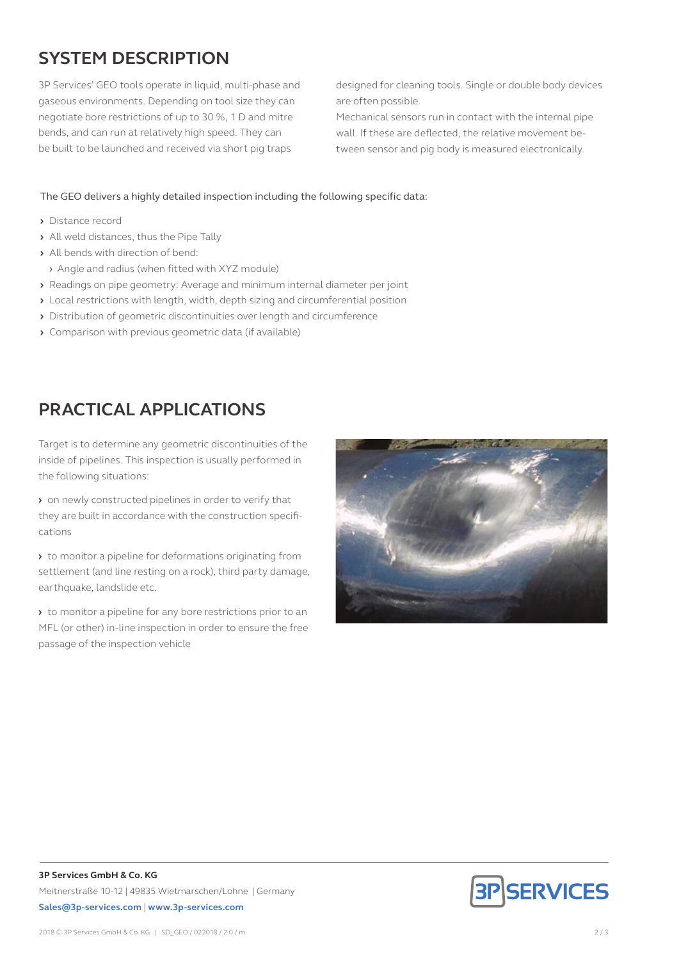### **SYSTEM DESCRIPTION**

3P Services' GEO tools operate in liquid, multi-phase and gaseous environments. Depending on tool size they can negotiate bore restrictions of up to 30 %, 1 D and mitre bends, and can run at relatively high speed. They can be built to be launched and received via short pig traps

designed for cleaning tools. Single or double body devices are often possible.

Mechanical sensors run in contact with the internal pipe wall. If these are deflected, the relative movement between sensor and pig body is measured electronically.

The GEO delivers a highly detailed inspection including the following specific data:

- **›** Distance record
- **›** All weld distances, thus the Pipe Tally
- **›** All bends with direction of bend:
- › Angle and radius (when fitted with XYZ module)
- **›** Readings on pipe geometry: Average and minimum internal diameter per joint
- **›** Local restrictions with length, width, depth sizing and circumferential position
- **›** Distribution of geometric discontinuities over length and circumference
- **›** Comparison with previous geometric data (if available)

#### **PRACTICAL APPLICATIONS**

Target is to determine any geometric discontinuities of the inside of pipelines. This inspection is usually performed in the following situations:

**›** on newly constructed pipelines in order to verify that they are built in accordance with the construction specifications

**›** to monitor a pipeline for deformations originating from settlement (and line resting on a rock), third party damage, earthquake, landslide etc.

**›** to monitor a pipeline for any bore restrictions prior to an MFL (or other) in-line inspection in order to ensure the free passage of the inspection vehicle